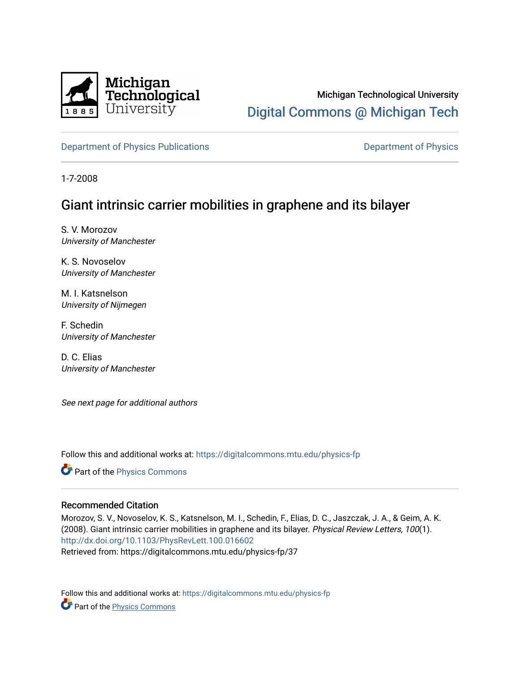

# Michigan Technological University [Digital Commons @ Michigan Tech](https://digitalcommons.mtu.edu/)

[Department of Physics Publications](https://digitalcommons.mtu.edu/physics-fp) **Department of Physics** Department of Physics

1-7-2008

## Giant intrinsic carrier mobilities in graphene and its bilayer

S. V. Morozov University of Manchester

K. S. Novoselov University of Manchester

M. I. Katsnelson University of Nijmegen

F. Schedin University of Manchester

D. C. Elias University of Manchester

See next page for additional authors

Follow this and additional works at: [https://digitalcommons.mtu.edu/physics-fp](https://digitalcommons.mtu.edu/physics-fp?utm_source=digitalcommons.mtu.edu%2Fphysics-fp%2F37&utm_medium=PDF&utm_campaign=PDFCoverPages)

Part of the [Physics Commons](http://network.bepress.com/hgg/discipline/193?utm_source=digitalcommons.mtu.edu%2Fphysics-fp%2F37&utm_medium=PDF&utm_campaign=PDFCoverPages)

### Recommended Citation

Morozov, S. V., Novoselov, K. S., Katsnelson, M. I., Schedin, F., Elias, D. C., Jaszczak, J. A., & Geim, A. K. (2008). Giant intrinsic carrier mobilities in graphene and its bilayer. Physical Review Letters, 100(1). <http://dx.doi.org/10.1103/PhysRevLett.100.016602> Retrieved from: https://digitalcommons.mtu.edu/physics-fp/37

Follow this and additional works at: [https://digitalcommons.mtu.edu/physics-fp](https://digitalcommons.mtu.edu/physics-fp?utm_source=digitalcommons.mtu.edu%2Fphysics-fp%2F37&utm_medium=PDF&utm_campaign=PDFCoverPages) Part of the [Physics Commons](http://network.bepress.com/hgg/discipline/193?utm_source=digitalcommons.mtu.edu%2Fphysics-fp%2F37&utm_medium=PDF&utm_campaign=PDFCoverPages)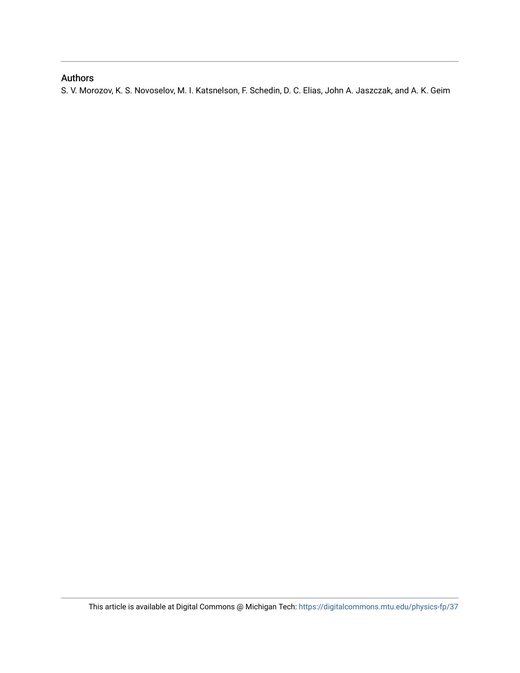### Authors

S. V. Morozov, K. S. Novoselov, M. I. Katsnelson, F. Schedin, D. C. Elias, John A. Jaszczak, and A. K. Geim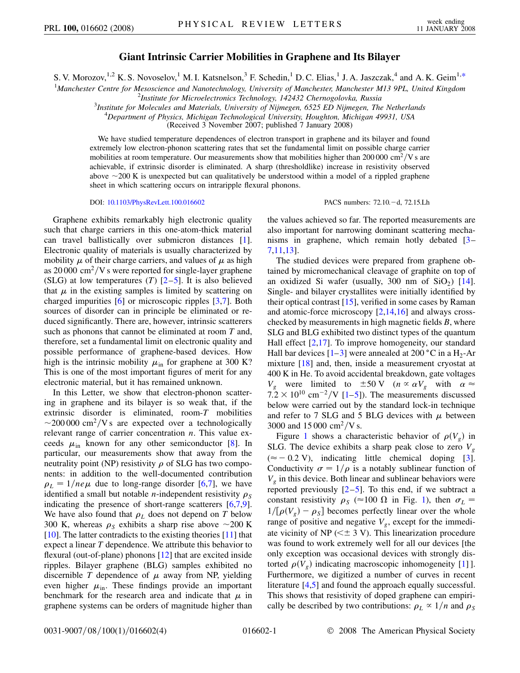#### **Giant Intrinsic Carrier Mobilities in Graphene and Its Bilayer**

<span id="page-2-0"></span>S. V. Morozov,<sup>1,2</sup> K. S. Novoselov,<sup>1</sup> M. I. Katsnelson,<sup>3</sup> F. Schedin,<sup>1</sup> D. C. Elias,<sup>1</sup> J. A. Jaszczak,<sup>4</sup> and A. K. Geim<sup>1[,\\*](#page-5-0)</sup>

<sup>1</sup>Manchester Centre for Mesoscience and Nanotechnology, University of Manchester, Manchester M13 9PL, United Kingdom<br><sup>2</sup>Institute for Microelectronics Technology, 142432 Chernogologie, Pussia

*Institute for Microelectronics Technology, 142432 Chernogolovka, Russia* <sup>3</sup>

*Institute for Molecules and Materials, University of Nijmegen, 6525 ED Nijmegen, The Netherlands* <sup>4</sup>

*Department of Physics, Michigan Technological University, Houghton, Michigan 49931, USA*

(Received 3 November 2007; published 7 January 2008)

We have studied temperature dependences of electron transport in graphene and its bilayer and found extremely low electron-phonon scattering rates that set the fundamental limit on possible charge carrier mobilities at room temperature. Our measurements show that mobilities higher than 200 000 cm<sup>2</sup>/V s are achievable, if extrinsic disorder is eliminated. A sharp (thresholdlike) increase in resistivity observed above  $\sim$  200 K is unexpected but can qualitatively be understood within a model of a rippled graphene sheet in which scattering occurs on intraripple flexural phonons.

DOI: [10.1103/PhysRevLett.100.016602](http://dx.doi.org/10.1103/PhysRevLett.100.016602)

PACS numbers: 72.10.-d, 72.15.Lh

Graphene exhibits remarkably high electronic quality such that charge carriers in this one-atom-thick material can travel ballistically over submicron distances [[1\]](#page-5-1). Electronic quality of materials is usually characterized by mobility  $\mu$  of their charge carriers, and values of  $\mu$  as high as  $20000 \text{ cm}^2$ /V s were reported for single-layer graphene (SLG) at low temperatures  $(T)$   $[2-5]$  $[2-5]$  $[2-5]$ . It is also believed that  $\mu$  in the existing samples is limited by scattering on charged impurities [\[6\]](#page-5-4) or microscopic ripples [[3](#page-5-5),[7\]](#page-5-6). Both sources of disorder can in principle be eliminated or reduced significantly. There are, however, intrinsic scatterers such as phonons that cannot be eliminated at room *T* and, therefore, set a fundamental limit on electronic quality and possible performance of graphene-based devices. How high is the intrinsic mobility  $\mu_{in}$  for graphene at 300 K? This is one of the most important figures of merit for any electronic material, but it has remained unknown.

In this Letter, we show that electron-phonon scattering in graphene and its bilayer is so weak that, if the extrinsic disorder is eliminated, room-*T* mobilities  $\sim$ 200 000 cm<sup>2</sup>/V s are expected over a technologically relevant range of carrier concentration *n*. This value exceeds  $\mu_{\text{in}}$  known for any other semiconductor [\[8\]](#page-5-7). In particular, our measurements show that away from the neutrality point (NP) resistivity  $\rho$  of SLG has two components: in addition to the well-documented contribution  $\rho_L = 1/ne\mu$  due to long-range disorder [[6](#page-5-4),[7](#page-5-6)], we have identified a small but notable *n*-independent resistivity  $\rho_S$ indicating the presence of short-range scatterers [\[6](#page-5-4),[7](#page-5-6),[9\]](#page-5-8). We have also found that  $\rho_L$  does not depend on *T* below 300 K, whereas  $\rho_s$  exhibits a sharp rise above  $\sim$ 200 K [\[10\]](#page-5-9). The latter contradicts to the existing theories [\[11](#page-5-10)] that expect a linear *T* dependence. We attribute this behavior to flexural (out-of-plane) phonons [\[12\]](#page-5-11) that are excited inside ripples. Bilayer graphene (BLG) samples exhibited no discernible *T* dependence of  $\mu$  away from NP, yielding even higher  $\mu_{\rm in}$ . These findings provide an important benchmark for the research area and indicate that  $\mu$  in graphene systems can be orders of magnitude higher than the values achieved so far. The reported measurements are also important for narrowing dominant scattering mechanisms in graphene, which remain hotly debated [[3](#page-5-5)– [7](#page-5-6),[11](#page-5-10),[13](#page-5-12)].

The studied devices were prepared from graphene obtained by micromechanical cleavage of graphite on top of an oxidized Si wafer (usually,  $300 \text{ nm}$  of  $SiO<sub>2</sub>$ ) [[14\]](#page-5-13). Single- and bilayer crystallites were initially identified by their optical contrast [\[15\]](#page-5-14), verified in some cases by Raman and atomic-force microscopy [\[2](#page-5-2),[14](#page-5-13),[16](#page-5-15)] and always crosschecked by measurements in high magnetic fields *B*, where SLG and BLG exhibited two distinct types of the quantum Hall effect  $[2,17]$  $[2,17]$  $[2,17]$  $[2,17]$  $[2,17]$ . To improve homogeneity, our standard Hall bar devices  $[1-3]$  $[1-3]$  $[1-3]$  were annealed at 200 °C in a H<sub>2</sub>-Ar mixture [[18](#page-5-17)] and, then, inside a measurement cryostat at 400 K in He. To avoid accidental breakdown, gate voltages *V<sub>g</sub>* were limited to  $\pm 50$  V ( $n \propto \alpha V_g$  with  $\alpha \approx$  $7.2 \times 10^{10}$  cm<sup>-2</sup>/V [\[1](#page-5-1)–[5\]](#page-5-3)). The measurements discussed below were carried out by the standard lock-in technique and refer to 7 SLG and 5 BLG devices with  $\mu$  between 3000 and  $15000 \text{ cm}^2/\text{V s.}$ 

Figure [1](#page-3-0) shows a characteristic behavior of  $\rho(V_g)$  in SLG. The device exhibits a sharp peak close to zero  $V_g$  $(\approx -0.2 \text{ V})$ , indicating little chemical doping [[3\]](#page-5-5). Conductivity  $\sigma = 1/\rho$  is a notably sublinear function of  $V<sub>g</sub>$  in this device. Both linear and sublinear behaviors were reported previously  $[2-5]$  $[2-5]$  $[2-5]$  $[2-5]$ . To this end, if we subtract a constant resistivity  $\rho_S$  ( $\approx 100 \Omega$  in Fig. [1\)](#page-3-0), then  $\sigma_L$  =  $1/[\rho(V_g) - \rho_s]$  becomes perfectly linear over the whole range of positive and negative  $V_g$ , except for the immediate vicinity of NP ( $\leq \pm 3$  V). This linearization procedure was found to work extremely well for all our devices [the only exception was occasional devices with strongly distorted  $\rho(V_g)$  indicating macroscopic inhomogeneity [[1\]](#page-5-1) ]. Furthermore, we digitized a number of curves in recent literature [\[4](#page-5-18)[,5](#page-5-3)] and found the approach equally successful. This shows that resistivity of doped graphene can empirically be described by two contributions:  $\rho_L \propto 1/n$  and  $\rho_S$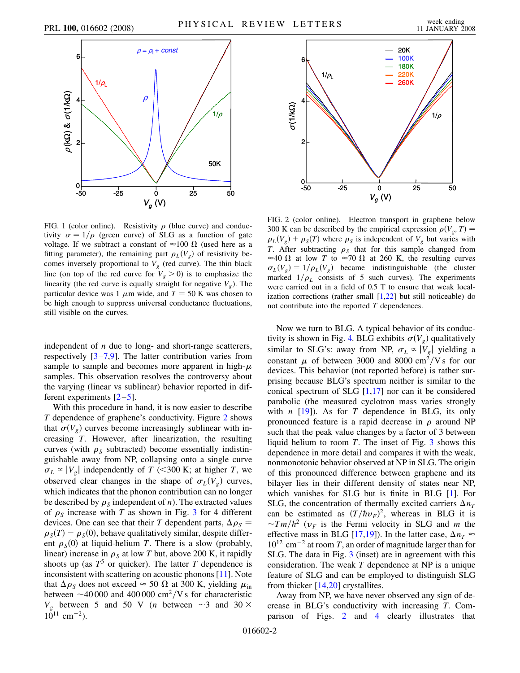<span id="page-3-0"></span>

FIG. 1 (color online). Resistivity  $\rho$  (blue curve) and conductivity  $\sigma = 1/\rho$  (green curve) of SLG as a function of gate voltage. If we subtract a constant of  $\approx 100 \Omega$  (used here as a fitting parameter), the remaining part  $\rho_L(V_g)$  of resistivity becomes inversely proportional to  $V_g$  (red curve). The thin black line (on top of the red curve for  $V_g > 0$ ) is to emphasize the linearity (the red curve is equally straight for negative  $V_g$ ). The particular device was 1  $\mu$ m wide, and  $T = 50$  K was chosen to be high enough to suppress universal conductance fluctuations, still visible on the curves.

independent of *n* due to long- and short-range scatterers, respectively [\[3](#page-5-5)[–7](#page-5-6),[9\]](#page-5-8). The latter contribution varies from sample to sample and becomes more apparent in high- $\mu$ samples. This observation resolves the controversy about the varying (linear vs sublinear) behavior reported in different experiments  $[2-5]$  $[2-5]$  $[2-5]$ .

With this procedure in hand, it is now easier to describe *T* dependence of graphene's conductivity. Figure [2](#page-3-1) shows that  $\sigma(V_g)$  curves become increasingly sublinear with increasing *T*. However, after linearization, the resulting curves (with  $\rho_s$  subtracted) become essentially indistinguishable away from NP, collapsing onto a single curve  $\sigma_L \propto |V_g|$  independently of *T* (<300 K; at higher *T*, we observed clear changes in the shape of  $\sigma_L(V_g)$  curves, which indicates that the phonon contribution can no longer be described by  $\rho_s$  independent of *n*). The extracted values of  $\rho_s$  increase with *T* as shown in Fig. [3](#page-4-0) for 4 different devices. One can see that their *T* dependent parts,  $\Delta \rho_s$  =  $\rho_S(T) - \rho_S(0)$ , behave qualitatively similar, despite different  $\rho_S(0)$  at liquid-helium *T*. There is a slow (probably, linear) increase in  $\rho<sub>S</sub>$  at low *T* but, above 200 K, it rapidly shoots up (as  $T^5$  or quicker). The latter *T* dependence is inconsistent with scattering on acoustic phonons [[11](#page-5-10)]. Note that  $\Delta \rho_S$  does not exceed  $\approx 50 \Omega$  at 300 K, yielding  $\mu_{\text{in}}$ between  $\sim$ 40 000 and 400 000 cm<sup>2</sup>/V s for characteristic  $V_g$  between 5 and 50 V (*n* between ~3 and 30  $\times$  $10^{11}$  cm<sup>-2</sup>).

<span id="page-3-1"></span>

FIG. 2 (color online). Electron transport in graphene below 300 K can be described by the empirical expression  $\rho(V_g, T)$  =  $\rho_L(V_g) + \rho_S(T)$  where  $\rho_S$  is independent of  $V_g$  but varies with *T*. After subtracting  $\rho_s$  that for this sample changed from  $\approx$ 40  $\Omega$  at low *T* to  $\approx$ 70  $\Omega$  at 260 K, the resulting curves  $\sigma_L(V_g) = 1/\rho_L(V_g)$  became indistinguishable (the cluster marked  $1/\rho_L$  consists of 5 such curves). The experiments were carried out in a field of 0.5 T to ensure that weak localization corrections (rather small [\[1](#page-5-1)[,22\]](#page-5-21) but still noticeable) do not contribute into the reported *T* dependences.

Now we turn to BLG. A typical behavior of its conduc-tivity is shown in Fig. [4.](#page-4-1) BLG exhibits  $\sigma(V_g)$  qualitatively similar to SLG's: away from NP,  $\sigma_L \propto |V_g|$  yielding a constant  $\mu$  of between 3000 and 8000 cm<sup>2</sup>/V s for our devices. This behavior (not reported before) is rather surprising because BLG's spectrum neither is similar to the conical spectrum of SLG  $[1,17]$  $[1,17]$  nor can it be considered parabolic (the measured cyclotron mass varies strongly with  $n$  [\[19\]](#page-5-19)). As for  $T$  dependence in BLG, its only pronounced feature is a rapid decrease in  $\rho$  around NP such that the peak value changes by a factor of 3 between liquid helium to room *T*. The inset of Fig. [3](#page-4-0) shows this dependence in more detail and compares it with the weak, nonmonotonic behavior observed at NP in SLG. The origin of this pronounced difference between graphene and its bilayer lies in their different density of states near NP, which vanishes for SLG but is finite in BLG [\[1](#page-5-1)]. For SLG, the concentration of thermally excited carriers  $\Delta n_T$ can be estimated as  $(T/\hbar v_F)^2$ , whereas in BLG it is  $\sim Tm/\hbar^2$  ( $v_F$  is the Fermi velocity in SLG and *m* the effective mass in BLG [\[17,](#page-5-16)[19\]](#page-5-19)). In the latter case,  $\Delta n_T \approx$  $10^{12}$  cm<sup>-2</sup> at room *T*, an order of magnitude larger than for SLG. The data in Fig. [3](#page-4-0) (inset) are in agreement with this consideration. The weak *T* dependence at NP is a unique feature of SLG and can be employed to distinguish SLG from thicker [\[14](#page-5-13)[,20\]](#page-5-20) crystallites.

Away from NP, we have never observed any sign of decrease in BLG's conductivity with increasing *T*. Comparison of Figs. [2](#page-3-1) and [4](#page-4-1) clearly illustrates that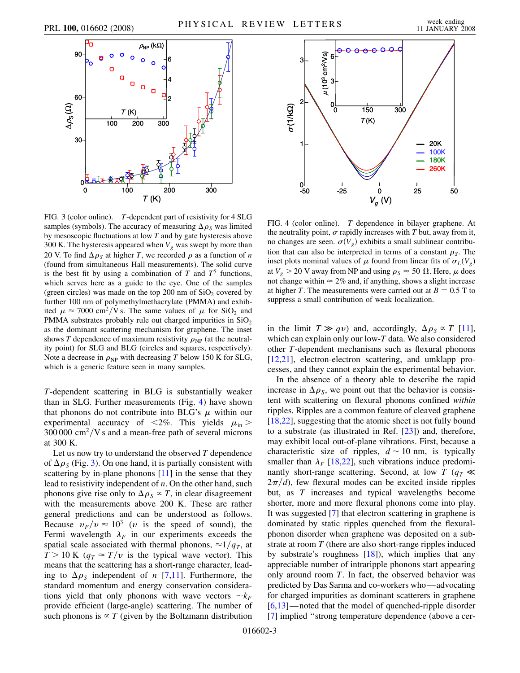<span id="page-4-0"></span>

FIG. 3 (color online). *T*-dependent part of resistivity for 4 SLG samples (symbols). The accuracy of measuring  $\Delta \rho_s$  was limited by mesoscopic fluctuations at low *T* and by gate hysteresis above 300 K. The hysteresis appeared when  $V_g$  was swept by more than 20 V. To find  $\Delta \rho_s$  at higher *T*, we recorded  $\rho$  as a function of *n* (found from simultaneous Hall measurements). The solid curve is the best fit by using a combination of  $T$  and  $T^5$  functions, which serves here as a guide to the eye. One of the samples (green circles) was made on the top 200 nm of  $SiO<sub>2</sub>$  covered by further 100 nm of polymethylmethacrylate (PMMA) and exhibited  $\mu \approx 7000 \text{ cm}^2/\text{V s}$ . The same values of  $\mu$  for SiO<sub>2</sub> and PMMA substrates probably rule out charged impurities in  $SiO<sub>2</sub>$ as the dominant scattering mechanism for graphene. The inset shows *T* dependence of maximum resistivity  $\rho_{NP}$  (at the neutrality point) for SLG and BLG (circles and squares, respectively). Note a decrease in  $\rho_{\text{NP}}$  with decreasing *T* below 150 K for SLG, which is a generic feature seen in many samples.

*T*-dependent scattering in BLG is substantially weaker than in SLG. Further measurements (Fig. [4](#page-4-1)) have shown that phonons do not contribute into BLG's  $\mu$  within our experimental accuracy of  $\langle 2\% \rangle$ . This yields  $\mu_{\rm in}$  >  $300\,000\ \mathrm{cm^2/V}$  s and a mean-free path of several microns at 300 K.

Let us now try to understand the observed *T* dependence of  $\Delta \rho_s$  (Fig. [3](#page-4-0)). On one hand, it is partially consistent with scattering by in-plane phonons [\[11\]](#page-5-10) in the sense that they lead to resistivity independent of *n*. On the other hand, such phonons give rise only to  $\Delta \rho_s \propto T$ , in clear disagreement with the measurements above 200 K. These are rather general predictions and can be understood as follows. Because  $v_F/v \approx 10^3$  (*v* is the speed of sound), the Fermi wavelength  $\lambda_F$  in our experiments exceeds the spatial scale associated with thermal phonons,  $\approx 1/q_T$ , at  $T > 10$  K ( $q_T \approx T/v$  is the typical wave vector). This means that the scattering has a short-range character, leading to  $\Delta \rho_s$  independent of *n* [\[7](#page-5-6),[11](#page-5-10)]. Furthermore, the standard momentum and energy conservation considerations yield that only phonons with wave vectors  $\sim k_F$ provide efficient (large-angle) scattering. The number of such phonons is  $\propto T$  (given by the Boltzmann distribution

<span id="page-4-1"></span>

FIG. 4 (color online). *T* dependence in bilayer graphene. At the neutrality point,  $\sigma$  rapidly increases with  $T$  but, away from it, no changes are seen.  $\sigma(V_g)$  exhibits a small sublinear contribution that can also be interpreted in terms of a constant  $\rho_S$ . The inset plots nominal values of  $\mu$  found from linear fits of  $\sigma_L(V_g)$ at  $V_g > 20$  V away from NP and using  $\rho_S \approx 50 \Omega$ . Here,  $\mu$  does not change within  $\approx 2\%$  and, if anything, shows a slight increase at higher *T*. The measurements were carried out at  $B = 0.5$  T to suppress a small contribution of weak localization.

in the limit  $T \gg qv$ ) and, accordingly,  $\Delta \rho_s \propto T$  [[11\]](#page-5-10), which can explain only our low-*T* data. We also considered other *T*-dependent mechanisms such as flexural phonons [\[12](#page-5-11)[,21\]](#page-5-22), electron-electron scattering, and umklapp processes, and they cannot explain the experimental behavior.

In the absence of a theory able to describe the rapid increase in  $\Delta \rho_s$ , we point out that the behavior is consistent with scattering on flexural phonons confined *within* ripples. Ripples are a common feature of cleaved graphene [\[18](#page-5-17)[,22\]](#page-5-21), suggesting that the atomic sheet is not fully bound to a substrate (as illustrated in Ref. [\[23\]](#page-5-23)) and, therefore, may exhibit local out-of-plane vibrations. First, because a characteristic size of ripples,  $d \sim 10$  nm, is typically smaller than  $\lambda_F$  [\[18](#page-5-17)[,22\]](#page-5-21), such vibrations induce predominantly short-range scattering. Second, at low *T* ( $q_T \ll$  $2\pi/d$ , few flexural modes can be excited inside ripples but, as *T* increases and typical wavelengths become shorter, more and more flexural phonons come into play. It was suggested [[7\]](#page-5-6) that electron scattering in graphene is dominated by static ripples quenched from the flexuralphonon disorder when graphene was deposited on a substrate at room *T* (there are also short-range ripples induced by substrate's roughness  $[18]$ ), which implies that any appreciable number of intraripple phonons start appearing only around room *T*. In fact, the observed behavior was predicted by Das Sarma and co-workers who—advocating for charged impurities as dominant scatterers in graphene [\[6,](#page-5-4)[13\]](#page-5-12)—noted that the model of quenched-ripple disorder [\[7\]](#page-5-6) implied ''strong temperature dependence (above a cer